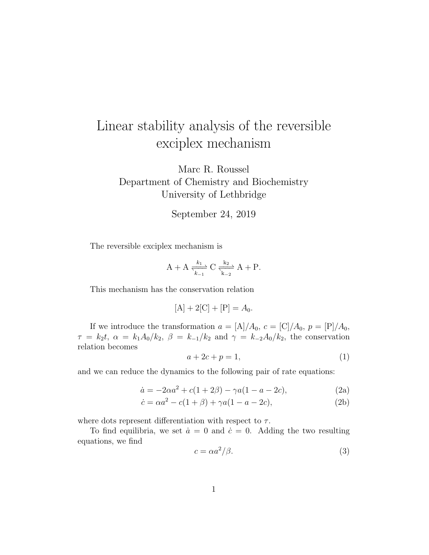## Linear stability analysis of the reversible exciplex mechanism

Marc R. Roussel Department of Chemistry and Biochemistry University of Lethbridge

September 24, 2019

The reversible exciplex mechanism is

$$
A + A \xrightarrow[k_{-1}]{k_1} C \xrightarrow[k_{-2}]{k_2} A + P.
$$

This mechanism has the conservation relation

$$
[A] + 2[C] + [P] = A_0.
$$

If we introduce the transformation  $a = [A]/A_0$ ,  $c = [C]/A_0$ ,  $p = [P]/A_0$ ,  $\tau = k_2 t$ ,  $\alpha = k_1 A_0 / k_2$ ,  $\beta = k_{-1}/k_2$  and  $\gamma = k_{-2} A_0 / k_2$ , the conservation relation becomes

$$
a + 2c + p = 1,\tag{1}
$$

and we can reduce the dynamics to the following pair of rate equations:

$$
\dot{a} = -2\alpha a^2 + c(1+2\beta) - \gamma a(1-a-2c),\tag{2a}
$$

$$
\dot{c} = \alpha a^2 - c(1+\beta) + \gamma a(1 - a - 2c),\tag{2b}
$$

where dots represent differentiation with respect to  $\tau$ .

To find equilibria, we set  $\dot{a} = 0$  and  $\dot{c} = 0$ . Adding the two resulting equations, we find

$$
c = \alpha a^2 / \beta. \tag{3}
$$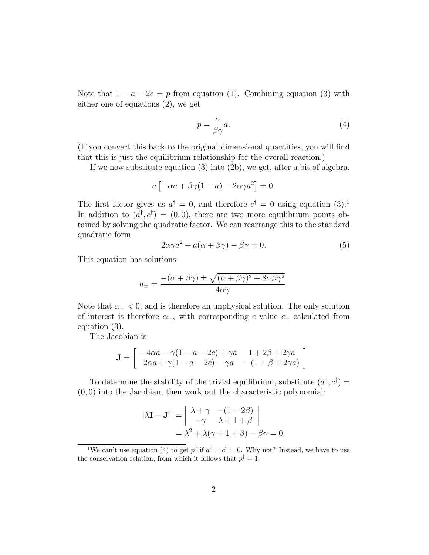Note that  $1 - a - 2c = p$  from equation (1). Combining equation (3) with either one of equations (2), we get

$$
p = \frac{\alpha}{\beta \gamma} a. \tag{4}
$$

(If you convert this back to the original dimensional quantities, you will find that this is just the equilibrium relationship for the overall reaction.)

If we now substitute equation (3) into (2b), we get, after a bit of algebra,

$$
a\left[-\alpha a + \beta \gamma (1 - a) - 2\alpha \gamma a^2\right] = 0.
$$

The first factor gives us  $a^{\dagger} = 0$ , and therefore  $c^{\dagger} = 0$  using equation  $(3)^{1}$ . In addition to  $(a^{\dagger}, c^{\dagger}) = (0, 0)$ , there are two more equilibrium points obtained by solving the quadratic factor. We can rearrange this to the standard quadratic form

$$
2\alpha\gamma a^2 + a(\alpha + \beta\gamma) - \beta\gamma = 0.
$$
 (5)

This equation has solutions

$$
a_{\pm} = \frac{-(\alpha + \beta\gamma) \pm \sqrt{(\alpha + \beta\gamma)^2 + 8\alpha\beta\gamma^2}}{4\alpha\gamma}.
$$

Note that  $\alpha_$  < 0, and is therefore an unphysical solution. The only solution of interest is therefore  $\alpha_+$ , with corresponding c value  $c_+$  calculated from equation (3).

The Jacobian is

$$
\mathbf{J} = \begin{bmatrix} -4\alpha a - \gamma (1 - a - 2c) + \gamma a & 1 + 2\beta + 2\gamma a \\ 2\alpha a + \gamma (1 - a - 2c) - \gamma a & -(1 + \beta + 2\gamma a) \end{bmatrix}.
$$

To determine the stability of the trivial equilibrium, substitute  $(a^{\dagger}, c^{\dagger}) =$  $(0, 0)$  into the Jacobian, then work out the characteristic polynomial:

$$
|\lambda \mathbf{I} - \mathbf{J}^{\dagger}| = \begin{vmatrix} \lambda + \gamma & -(1 + 2\beta) \\ -\gamma & \lambda + 1 + \beta \end{vmatrix}
$$
  
=  $\lambda^2 + \lambda(\gamma + 1 + \beta) - \beta\gamma = 0$ .

<sup>&</sup>lt;sup>1</sup>We can't use equation (4) to get  $p^{\dagger}$  if  $a^{\dagger} = c^{\dagger} = 0$ . Why not? Instead, we have to use the conservation relation, from which it follows that  $p^{\dagger} = 1$ .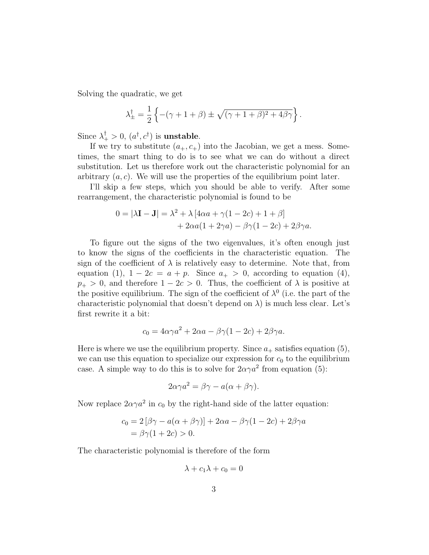Solving the quadratic, we get

$$
\lambda_{\pm}^{\dagger} = \frac{1}{2} \left\{ -(\gamma + 1 + \beta) \pm \sqrt{(\gamma + 1 + \beta)^2 + 4\beta\gamma} \right\}.
$$

Since  $\lambda_+^{\dagger} > 0$ ,  $(a^{\dagger}, c^{\dagger})$  is **unstable**.

If we try to substitute  $(a_+, c_+)$  into the Jacobian, we get a mess. Sometimes, the smart thing to do is to see what we can do without a direct substitution. Let us therefore work out the characteristic polynomial for an arbitrary  $(a, c)$ . We will use the properties of the equilibrium point later.

I'll skip a few steps, which you should be able to verify. After some rearrangement, the characteristic polynomial is found to be

$$
0 = |\lambda \mathbf{I} - \mathbf{J}| = \lambda^2 + \lambda [4\alpha a + \gamma (1 - 2c) + 1 + \beta]
$$

$$
+ 2\alpha a(1 + 2\gamma a) - \beta \gamma (1 - 2c) + 2\beta \gamma a.
$$

To figure out the signs of the two eigenvalues, it's often enough just to know the signs of the coefficients in the characteristic equation. The sign of the coefficient of  $\lambda$  is relatively easy to determine. Note that, from equation (1),  $1 - 2c = a + p$ . Since  $a_+ > 0$ , according to equation (4),  $p_{+} > 0$ , and therefore  $1 - 2c > 0$ . Thus, the coefficient of  $\lambda$  is positive at the positive equilibrium. The sign of the coefficient of  $\lambda^0$  (i.e. the part of the characteristic polynomial that doesn't depend on  $\lambda$ ) is much less clear. Let's first rewrite it a bit:

$$
c_0 = 4\alpha\gamma a^2 + 2\alpha a - \beta\gamma(1 - 2c) + 2\beta\gamma a.
$$

Here is where we use the equilibrium property. Since  $a_+$  satisfies equation (5), we can use this equation to specialize our expression for  $c_0$  to the equilibrium case. A simple way to do this is to solve for  $2\alpha\gamma a^2$  from equation (5):

$$
2\alpha\gamma a^2 = \beta\gamma - a(\alpha + \beta\gamma).
$$

Now replace  $2\alpha\gamma a^2$  in  $c_0$  by the right-hand side of the latter equation:

$$
c_0 = 2 [\beta \gamma - a(\alpha + \beta \gamma)] + 2\alpha a - \beta \gamma (1 - 2c) + 2\beta \gamma a
$$
  
=  $\beta \gamma (1 + 2c) > 0$ .

The characteristic polynomial is therefore of the form

$$
\lambda + c_1 \lambda + c_0 = 0
$$